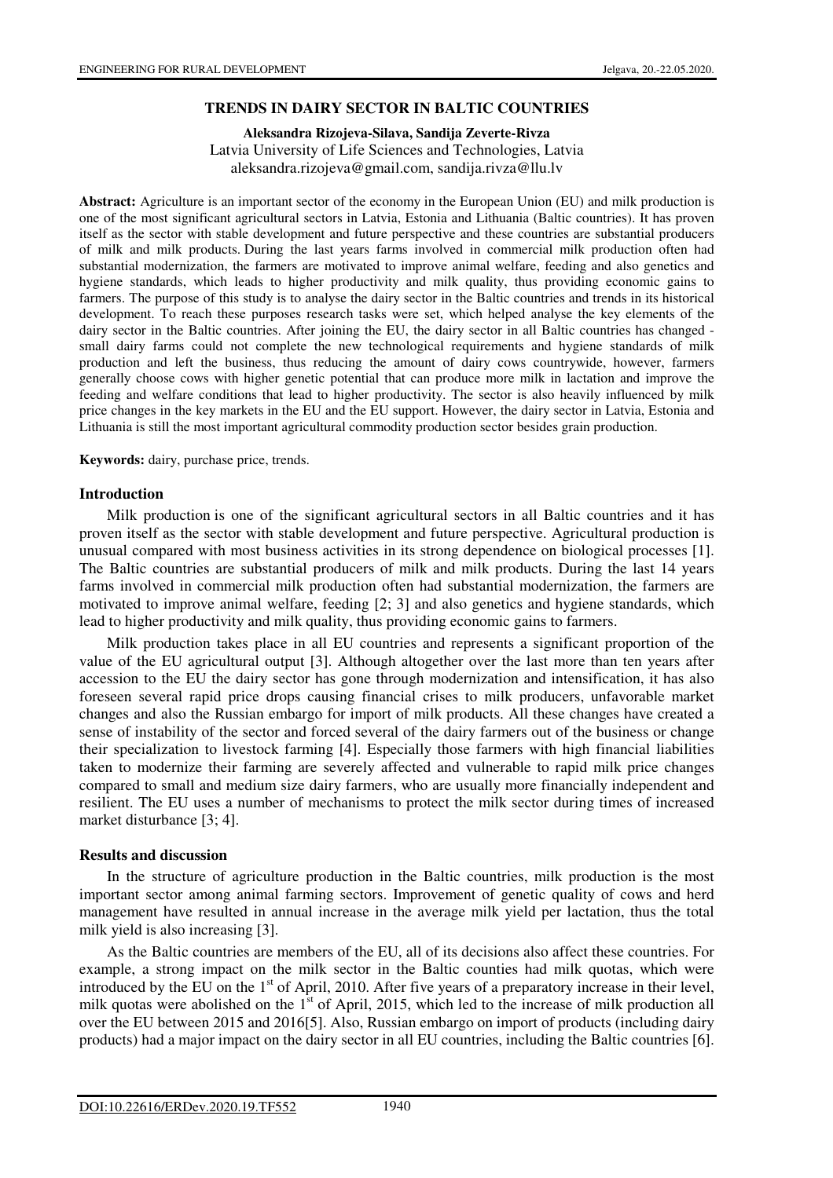# **TRENDS IN DAIRY SECTOR IN BALTIC COUNTRIES**

**Aleksandra Rizojeva-Silava, Sandija Zeverte-Rivza**  Latvia University of Life Sciences and Technologies, Latvia aleksandra.rizojeva@gmail.com, sandija.rivza@llu.lv

**Abstract:** Agriculture is an important sector of the economy in the European Union (EU) and milk production is one of the most significant agricultural sectors in Latvia, Estonia and Lithuania (Baltic countries). It has proven itself as the sector with stable development and future perspective and these countries are substantial producers of milk and milk products. During the last years farms involved in commercial milk production often had substantial modernization, the farmers are motivated to improve animal welfare, feeding and also genetics and hygiene standards, which leads to higher productivity and milk quality, thus providing economic gains to farmers. The purpose of this study is to analyse the dairy sector in the Baltic countries and trends in its historical development. To reach these purposes research tasks were set, which helped analyse the key elements of the dairy sector in the Baltic countries. After joining the EU, the dairy sector in all Baltic countries has changed small dairy farms could not complete the new technological requirements and hygiene standards of milk production and left the business, thus reducing the amount of dairy cows countrywide, however, farmers generally choose cows with higher genetic potential that can produce more milk in lactation and improve the feeding and welfare conditions that lead to higher productivity. The sector is also heavily influenced by milk price changes in the key markets in the EU and the EU support. However, the dairy sector in Latvia, Estonia and Lithuania is still the most important agricultural commodity production sector besides grain production.

**Keywords:** dairy, purchase price, trends.

### **Introduction**

Milk production is one of the significant agricultural sectors in all Baltic countries and it has proven itself as the sector with stable development and future perspective. Agricultural production is unusual compared with most business activities in its strong dependence on biological processes [1]. The Baltic countries are substantial producers of milk and milk products. During the last 14 years farms involved in commercial milk production often had substantial modernization, the farmers are motivated to improve animal welfare, feeding [2; 3] and also genetics and hygiene standards, which lead to higher productivity and milk quality, thus providing economic gains to farmers.

Milk production takes place in all EU countries and represents a significant proportion of the value of the EU agricultural output [3]. Although altogether over the last more than ten years after accession to the EU the dairy sector has gone through modernization and intensification, it has also foreseen several rapid price drops causing financial crises to milk producers, unfavorable market changes and also the Russian embargo for import of milk products. All these changes have created a sense of instability of the sector and forced several of the dairy farmers out of the business or change their specialization to livestock farming [4]. Especially those farmers with high financial liabilities taken to modernize their farming are severely affected and vulnerable to rapid milk price changes compared to small and medium size dairy farmers, who are usually more financially independent and resilient. The EU uses a number of mechanisms to protect the milk sector during times of increased market disturbance [3; 4].

#### **Results and discussion**

In the structure of agriculture production in the Baltic countries, milk production is the most important sector among animal farming sectors. Improvement of genetic quality of cows and herd management have resulted in annual increase in the average milk yield per lactation, thus the total milk yield is also increasing [3].

As the Baltic countries are members of the EU, all of its decisions also affect these countries. For example, a strong impact on the milk sector in the Baltic counties had milk quotas, which were introduced by the EU on the 1<sup>st</sup> of April, 2010. After five years of a preparatory increase in their level, milk quotas were abolished on the 1<sup>st</sup> of April, 2015, which led to the increase of milk production all over the EU between 2015 and 2016[5]. Also, Russian embargo on import of products (including dairy products) had a major impact on the dairy sector in all EU countries, including the Baltic countries [6].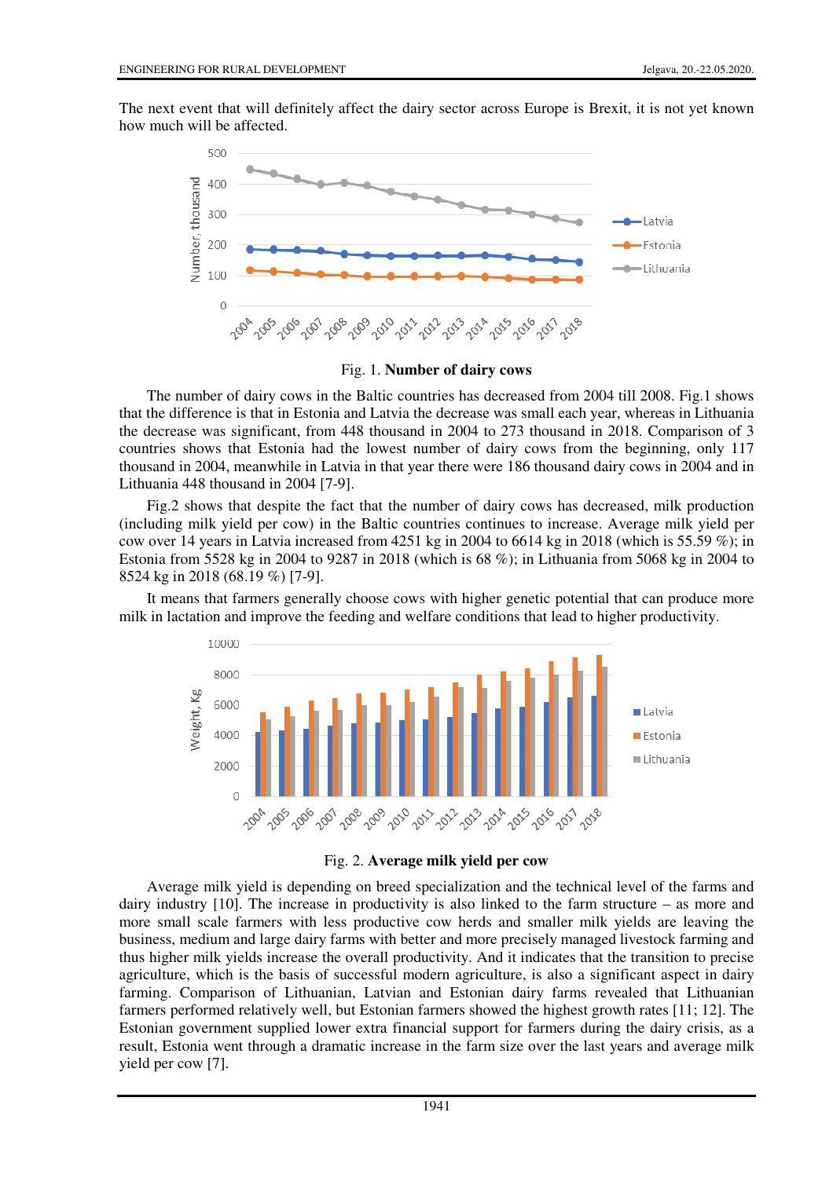The next event that will definitely affect the dairy sector across Europe is Brexit, it is not yet known how much will be affected.



Fig. 1. **Number of dairy cows**

The number of dairy cows in the Baltic countries has decreased from 2004 till 2008. Fig.1 shows that the difference is that in Estonia and Latvia the decrease was small each year, whereas in Lithuania the decrease was significant, from 448 thousand in 2004 to 273 thousand in 2018. Comparison of 3 countries shows that Estonia had the lowest number of dairy cows from the beginning, only 117 thousand in 2004, meanwhile in Latvia in that year there were 186 thousand dairy cows in 2004 and in Lithuania 448 thousand in 2004 [7-9].

Fig.2 shows that despite the fact that the number of dairy cows has decreased, milk production (including milk yield per cow) in the Baltic countries continues to increase. Average milk yield per cow over 14 years in Latvia increased from 4251 kg in 2004 to 6614 kg in 2018 (which is 55.59 %); in Estonia from 5528 kg in 2004 to 9287 in 2018 (which is 68 %); in Lithuania from 5068 kg in 2004 to 8524 kg in 2018 (68.19 %) [7-9].

It means that farmers generally choose cows with higher genetic potential that can produce more milk in lactation and improve the feeding and welfare conditions that lead to higher productivity.





Average milk yield is depending on breed specialization and the technical level of the farms and dairy industry [10]. The increase in productivity is also linked to the farm structure – as more and more small scale farmers with less productive cow herds and smaller milk yields are leaving the business, medium and large dairy farms with better and more precisely managed livestock farming and thus higher milk yields increase the overall productivity. And it indicates that the transition to precise agriculture, which is the basis of successful modern agriculture, is also a significant aspect in dairy farming. Comparison of Lithuanian, Latvian and Estonian dairy farms revealed that Lithuanian farmers performed relatively well, but Estonian farmers showed the highest growth rates [11; 12]. The Estonian government supplied lower extra financial support for farmers during the dairy crisis, as a result, Estonia went through a dramatic increase in the farm size over the last years and average milk yield per cow [7].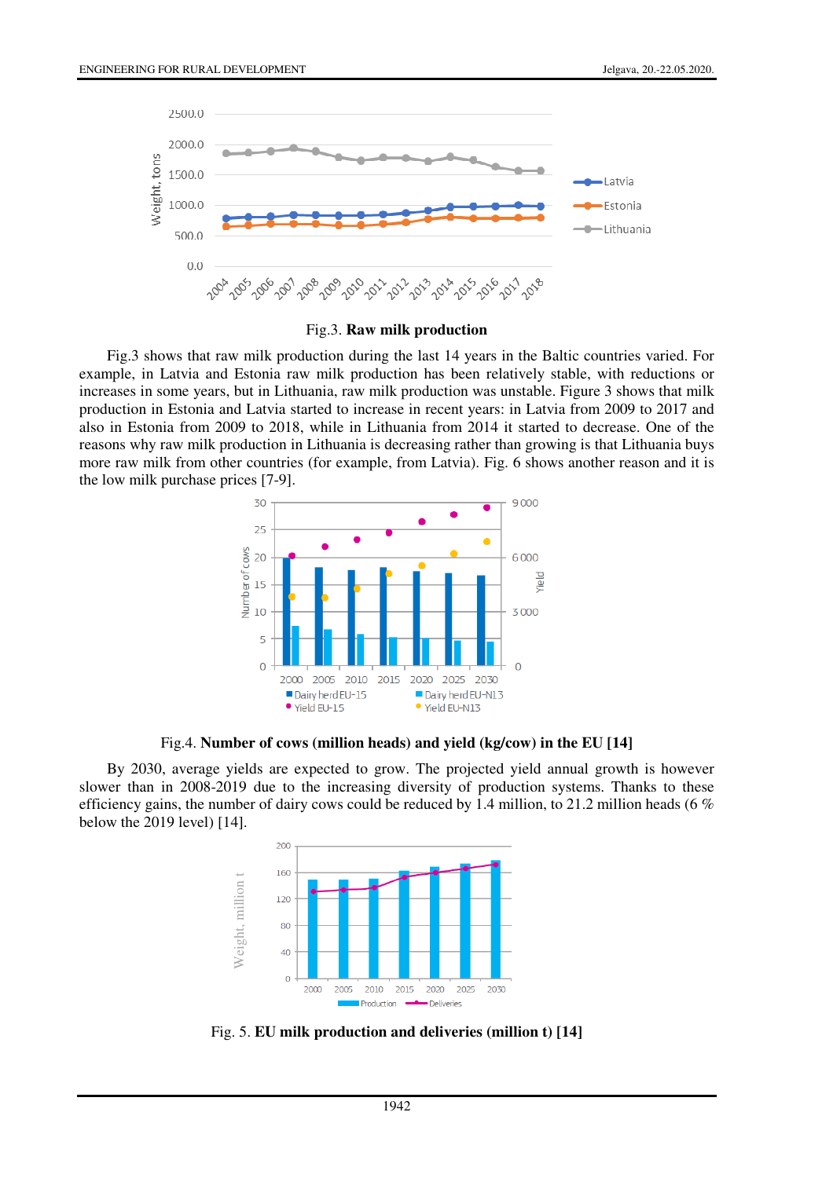

Fig.3. **Raw milk production** 

Fig.3 shows that raw milk production during the last 14 years in the Baltic countries varied. For example, in Latvia and Estonia raw milk production has been relatively stable, with reductions or increases in some years, but in Lithuania, raw milk production was unstable. Figure 3 shows that milk production in Estonia and Latvia started to increase in recent years: in Latvia from 2009 to 2017 and also in Estonia from 2009 to 2018, while in Lithuania from 2014 it started to decrease. One of the reasons why raw milk production in Lithuania is decreasing rather than growing is that Lithuania buys more raw milk from other countries (for example, from Latvia). Fig. 6 shows another reason and it is the low milk purchase prices [7-9].



Fig.4. **Number of cows (million heads) and yield (kg/cow) in the EU [14]** 

By 2030, average yields are expected to grow. The projected yield annual growth is however slower than in 2008-2019 due to the increasing diversity of production systems. Thanks to these efficiency gains, the number of dairy cows could be reduced by 1.4 million, to 21.2 million heads (6  $\%$ ) below the 2019 level) [14].

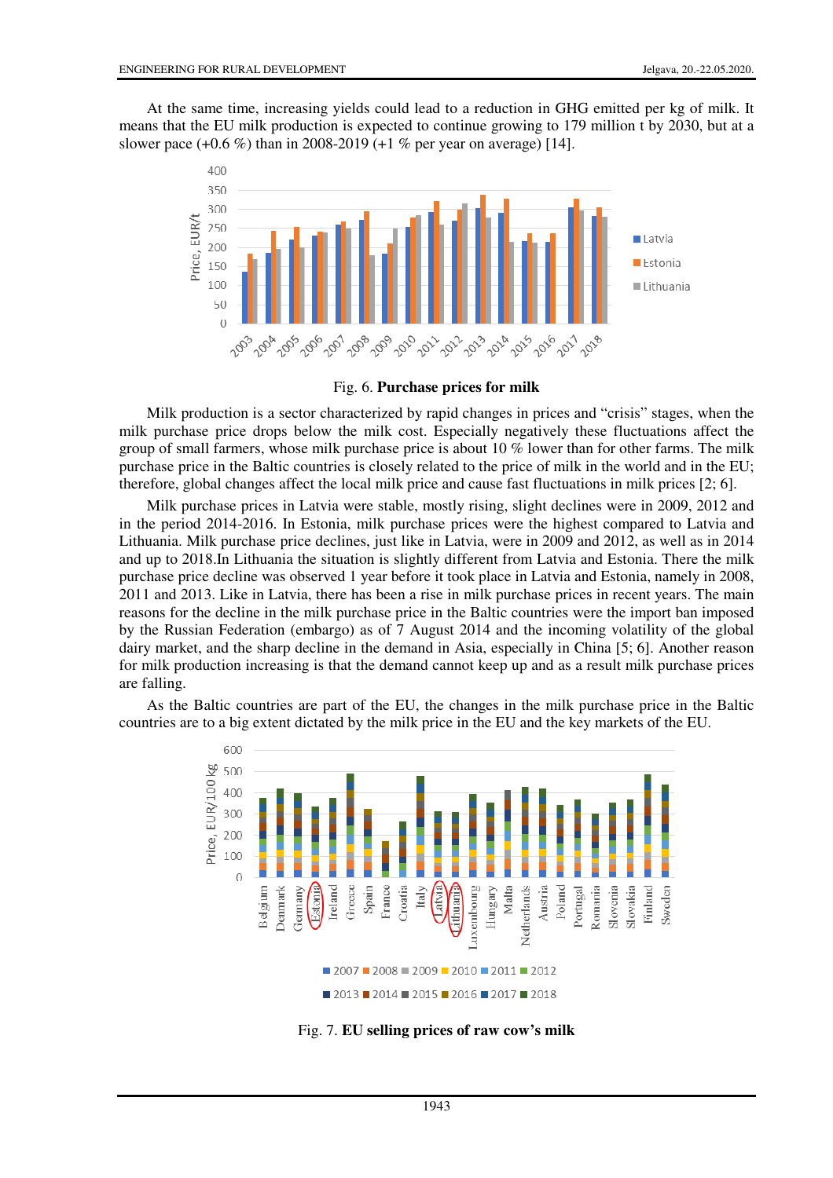At the same time, increasing yields could lead to a reduction in GHG emitted per kg of milk. It means that the EU milk production is expected to continue growing to 179 million t by 2030, but at a slower pace (+0.6 %) than in 2008-2019 (+1 % per year on average) [14].



Fig. 6. **Purchase prices for milk**

Milk production is a sector characterized by rapid changes in prices and "crisis" stages, when the milk purchase price drops below the milk cost. Especially negatively these fluctuations affect the group of small farmers, whose milk purchase price is about 10 % lower than for other farms. The milk purchase price in the Baltic countries is closely related to the price of milk in the world and in the EU; therefore, global changes affect the local milk price and cause fast fluctuations in milk prices [2; 6].

Milk purchase prices in Latvia were stable, mostly rising, slight declines were in 2009, 2012 and in the period 2014-2016. In Estonia, milk purchase prices were the highest compared to Latvia and Lithuania. Milk purchase price declines, just like in Latvia, were in 2009 and 2012, as well as in 2014 and up to 2018.In Lithuania the situation is slightly different from Latvia and Estonia. There the milk purchase price decline was observed 1 year before it took place in Latvia and Estonia, namely in 2008, 2011 and 2013. Like in Latvia, there has been a rise in milk purchase prices in recent years. The main reasons for the decline in the milk purchase price in the Baltic countries were the import ban imposed by the Russian Federation (embargo) as of 7 August 2014 and the incoming volatility of the global dairy market, and the sharp decline in the demand in Asia, especially in China [5; 6]. Another reason for milk production increasing is that the demand cannot keep up and as a result milk purchase prices are falling.

As the Baltic countries are part of the EU, the changes in the milk purchase price in the Baltic countries are to a big extent dictated by the milk price in the EU and the key markets of the EU.



Fig. 7. **EU selling prices of raw cow's milk**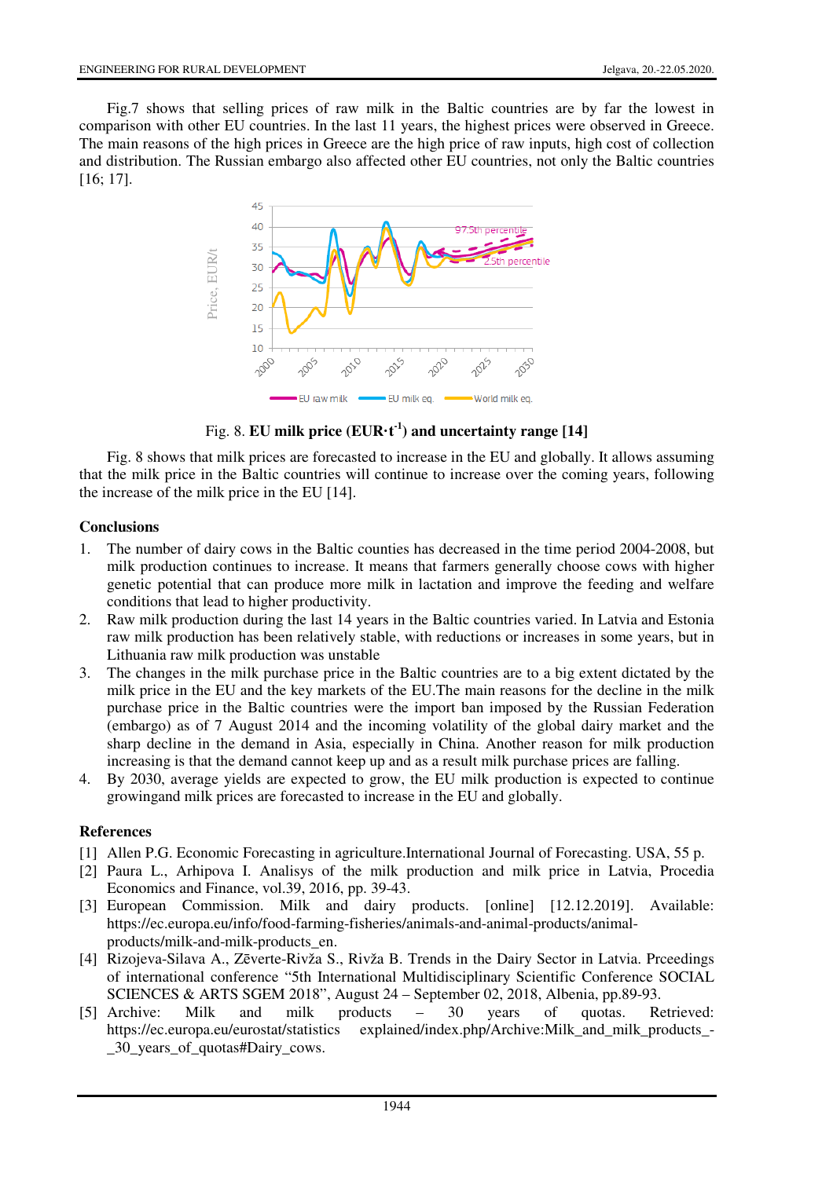Fig.7 shows that selling prices of raw milk in the Baltic countries are by far the lowest in comparison with other EU countries. In the last 11 years, the highest prices were observed in Greece. The main reasons of the high prices in Greece are the high price of raw inputs, high cost of collection and distribution. The Russian embargo also affected other EU countries, not only the Baltic countries [16; 17].



Fig. 8. **EU milk price (EUR·t<sup>-1</sup>) and uncertainty range [14]** 

Fig. 8 shows that milk prices are forecasted to increase in the EU and globally. It allows assuming that the milk price in the Baltic countries will continue to increase over the coming years, following the increase of the milk price in the EU [14].

# **Conclusions**

- 1. The number of dairy cows in the Baltic counties has decreased in the time period 2004-2008, but milk production continues to increase. It means that farmers generally choose cows with higher genetic potential that can produce more milk in lactation and improve the feeding and welfare conditions that lead to higher productivity.
- 2. Raw milk production during the last 14 years in the Baltic countries varied. In Latvia and Estonia raw milk production has been relatively stable, with reductions or increases in some years, but in Lithuania raw milk production was unstable
- 3. The changes in the milk purchase price in the Baltic countries are to a big extent dictated by the milk price in the EU and the key markets of the EU.The main reasons for the decline in the milk purchase price in the Baltic countries were the import ban imposed by the Russian Federation (embargo) as of 7 August 2014 and the incoming volatility of the global dairy market and the sharp decline in the demand in Asia, especially in China. Another reason for milk production increasing is that the demand cannot keep up and as a result milk purchase prices are falling. Example 12014 and Exerce of the minimal price of the minimal Ricci and Fig. 8 shows that milk prices are for the milk price in the Baltic countrine of the milk price in the Baltic countrine once more of the milk price in
- 4. By 2030, average yields are expected to grow, the EU milk production is expected to continue growingand milk prices are forecasted to increase in the EU and globally.

### **References**

- [1] Allen P.G. Economic Forecasting in agriculture.International Journal of Forecasting. USA, 55 p.
- [2] Paura L., Arhipova I. Analisys of the milk production and milk price in Latvia, Procedia Economics and Finance, vol.39, 2016, pp. 39-43.
- [3] European Commission. Milk and dairy products. [online] [12.12.2019]. Available: https://ec.europa.eu/info/food-farming-fisheries/animals-and-animal-products/animalproducts/milk-and-milk-products\_en.
- [4] Rizojeva-Silava A., Zēverte-Rivža S., Rivža B. Trends in the Dairy Sector in Latvia. Prceedings of international conference "5th International Multidisciplinary Scientific Conference SOCIAL SCIENCES & ARTS SGEM 2018", August 24 – September 02, 2018, Albenia, pp.89-93.
- [5] Archive: Milk and milk products 30 years of quotas. Retrieved: https://ec.europa.eu/eurostat/statistics explained/index.php/Archive:Milk\_and\_milk\_products\_-